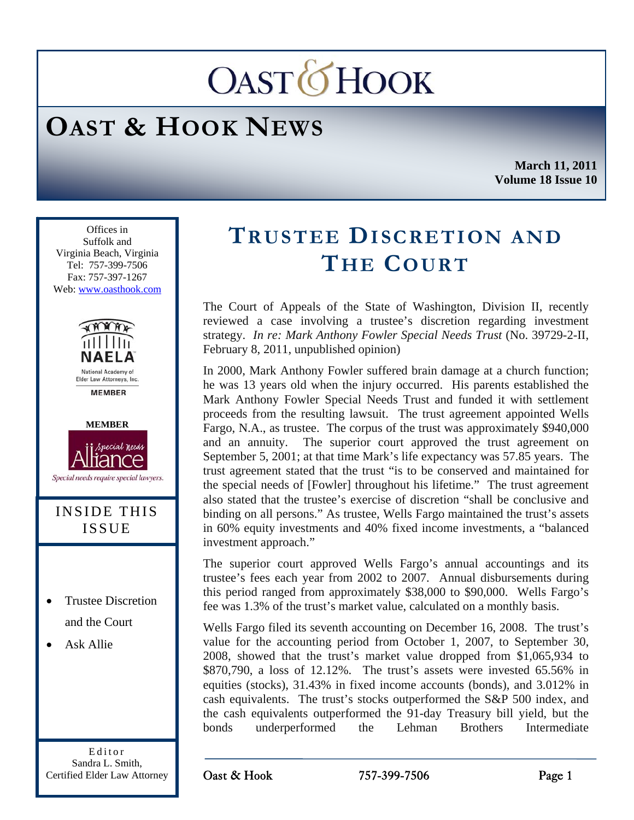# **OAST***OHOOK*

## **OAST & HOOK NEWS**

**March 11, 2011 Volume 18 Issue 10** 

Ī Offices in Suffolk and Virginia Beach, Virginia Tel: 757-399-7506 Fax: 757-397-1267 Web: www.oasthook.com



Editor Sandra L. Smith, Certified Elder Law Attorney

### **TRUSTEE DISCRETION AND THE COURT**

The Court of Appeals of the State of Washington, Division II, recently reviewed a case involving a trustee's discretion regarding investment strategy. *In re: Mark Anthony Fowler Special Needs Trust* (No. 39729-2-II, February 8, 2011, unpublished opinion)

In 2000, Mark Anthony Fowler suffered brain damage at a church function; he was 13 years old when the injury occurred. His parents established the Mark Anthony Fowler Special Needs Trust and funded it with settlement proceeds from the resulting lawsuit. The trust agreement appointed Wells Fargo, N.A., as trustee. The corpus of the trust was approximately \$940,000 and an annuity. The superior court approved the trust agreement on September 5, 2001; at that time Mark's life expectancy was 57.85 years. The trust agreement stated that the trust "is to be conserved and maintained for the special needs of [Fowler] throughout his lifetime." The trust agreement also stated that the trustee's exercise of discretion "shall be conclusive and binding on all persons." As trustee, Wells Fargo maintained the trust's assets in 60% equity investments and 40% fixed income investments, a "balanced investment approach."

The superior court approved Wells Fargo's annual accountings and its trustee's fees each year from 2002 to 2007. Annual disbursements during this period ranged from approximately \$38,000 to \$90,000. Wells Fargo's fee was 1.3% of the trust's market value, calculated on a monthly basis.

Wells Fargo filed its seventh accounting on December 16, 2008. The trust's value for the accounting period from October 1, 2007, to September 30, 2008, showed that the trust's market value dropped from \$1,065,934 to \$870,790, a loss of 12.12%. The trust's assets were invested 65.56% in equities (stocks), 31.43% in fixed income accounts (bonds), and 3.012% in cash equivalents.The trust's stocks outperformed the S&P 500 index, and the cash equivalents outperformed the 91-day Treasury bill yield, but the bonds underperformed the Lehman Brothers Intermediate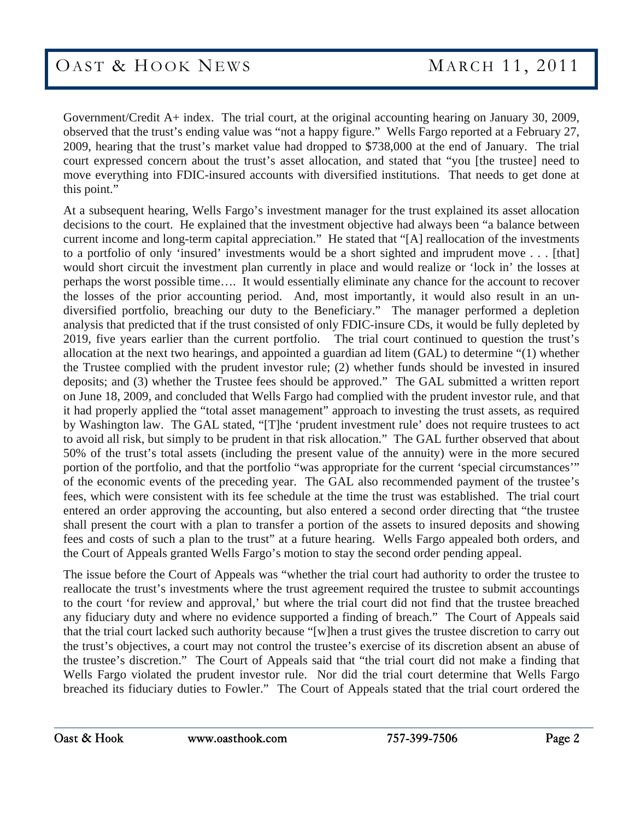Government/Credit A+ index. The trial court, at the original accounting hearing on January 30, 2009, observed that the trust's ending value was "not a happy figure." Wells Fargo reported at a February 27, 2009, hearing that the trust's market value had dropped to \$738,000 at the end of January. The trial court expressed concern about the trust's asset allocation, and stated that "you [the trustee] need to move everything into FDIC-insured accounts with diversified institutions. That needs to get done at this point."

At a subsequent hearing, Wells Fargo's investment manager for the trust explained its asset allocation decisions to the court. He explained that the investment objective had always been "a balance between current income and long-term capital appreciation." He stated that "[A] reallocation of the investments to a portfolio of only 'insured' investments would be a short sighted and imprudent move . . . [that] would short circuit the investment plan currently in place and would realize or 'lock in' the losses at perhaps the worst possible time…. It would essentially eliminate any chance for the account to recover the losses of the prior accounting period. And, most importantly, it would also result in an undiversified portfolio, breaching our duty to the Beneficiary." The manager performed a depletion analysis that predicted that if the trust consisted of only FDIC-insure CDs, it would be fully depleted by 2019, five years earlier than the current portfolio. The trial court continued to question the trust's allocation at the next two hearings, and appointed a guardian ad litem (GAL) to determine "(1) whether the Trustee complied with the prudent investor rule; (2) whether funds should be invested in insured deposits; and (3) whether the Trustee fees should be approved." The GAL submitted a written report on June 18, 2009, and concluded that Wells Fargo had complied with the prudent investor rule, and that it had properly applied the "total asset management" approach to investing the trust assets, as required by Washington law. The GAL stated, "[T]he 'prudent investment rule' does not require trustees to act to avoid all risk, but simply to be prudent in that risk allocation." The GAL further observed that about 50% of the trust's total assets (including the present value of the annuity) were in the more secured portion of the portfolio, and that the portfolio "was appropriate for the current 'special circumstances'" of the economic events of the preceding year. The GAL also recommended payment of the trustee's fees, which were consistent with its fee schedule at the time the trust was established. The trial court entered an order approving the accounting, but also entered a second order directing that "the trustee shall present the court with a plan to transfer a portion of the assets to insured deposits and showing fees and costs of such a plan to the trust" at a future hearing. Wells Fargo appealed both orders, and the Court of Appeals granted Wells Fargo's motion to stay the second order pending appeal.

The issue before the Court of Appeals was "whether the trial court had authority to order the trustee to reallocate the trust's investments where the trust agreement required the trustee to submit accountings to the court 'for review and approval,' but where the trial court did not find that the trustee breached any fiduciary duty and where no evidence supported a finding of breach." The Court of Appeals said that the trial court lacked such authority because "[w]hen a trust gives the trustee discretion to carry out the trust's objectives, a court may not control the trustee's exercise of its discretion absent an abuse of the trustee's discretion." The Court of Appeals said that "the trial court did not make a finding that Wells Fargo violated the prudent investor rule. Nor did the trial court determine that Wells Fargo breached its fiduciary duties to Fowler." The Court of Appeals stated that the trial court ordered the